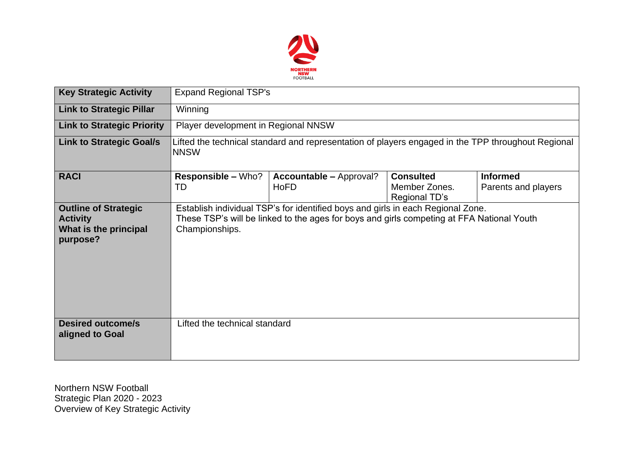

| <b>Key Strategic Activity</b>                                                       | <b>Expand Regional TSP's</b>                                                                                      |                                                                                                                                                                              |                                                    |                                        |  |  |  |
|-------------------------------------------------------------------------------------|-------------------------------------------------------------------------------------------------------------------|------------------------------------------------------------------------------------------------------------------------------------------------------------------------------|----------------------------------------------------|----------------------------------------|--|--|--|
| <b>Link to Strategic Pillar</b>                                                     | Winning                                                                                                           |                                                                                                                                                                              |                                                    |                                        |  |  |  |
| <b>Link to Strategic Priority</b>                                                   | Player development in Regional NNSW                                                                               |                                                                                                                                                                              |                                                    |                                        |  |  |  |
| <b>Link to Strategic Goal/s</b>                                                     | Lifted the technical standard and representation of players engaged in the TPP throughout Regional<br><b>NNSW</b> |                                                                                                                                                                              |                                                    |                                        |  |  |  |
| <b>RACI</b>                                                                         | <b>Responsible – Who?</b><br>TD                                                                                   | <b>Accountable – Approval?</b><br>HoFD                                                                                                                                       | <b>Consulted</b><br>Member Zones.<br>Regional TD's | <b>Informed</b><br>Parents and players |  |  |  |
| <b>Outline of Strategic</b><br><b>Activity</b><br>What is the principal<br>purpose? | Championships.                                                                                                    | Establish individual TSP's for identified boys and girls in each Regional Zone.<br>These TSP's will be linked to the ages for boys and girls competing at FFA National Youth |                                                    |                                        |  |  |  |
| <b>Desired outcome/s</b><br>aligned to Goal                                         | Lifted the technical standard                                                                                     |                                                                                                                                                                              |                                                    |                                        |  |  |  |

Northern NSW Football Strategic Plan 2020 - 2023 Overview of Key Strategic Activity